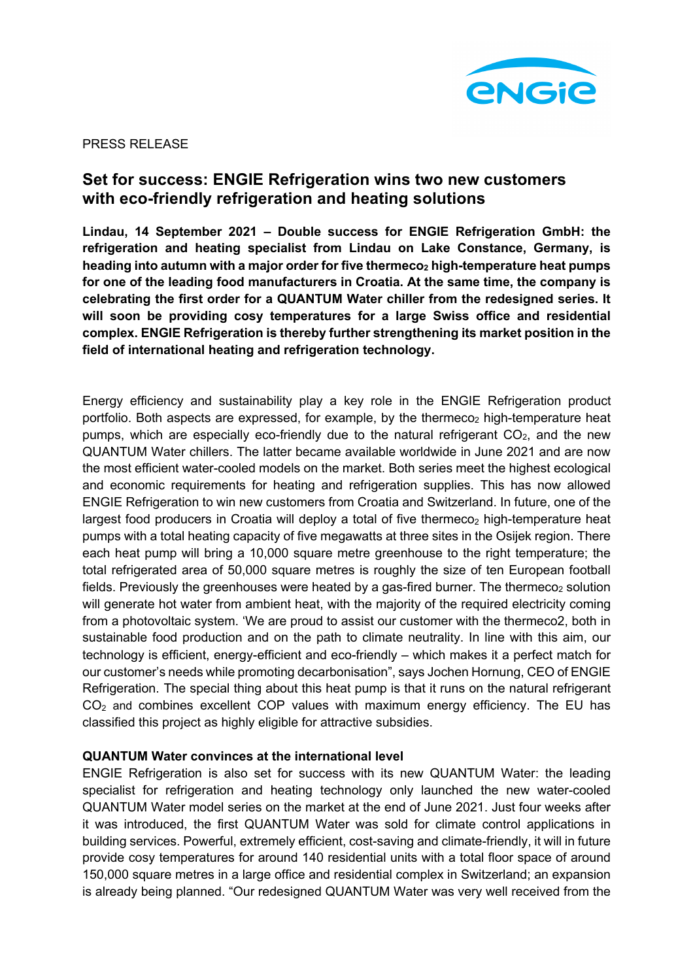

PRESS RELEASE

# **Set for success: ENGIE Refrigeration wins two new customers with eco-friendly refrigeration and heating solutions**

**Lindau, 14 September 2021 – Double success for ENGIE Refrigeration GmbH: the refrigeration and heating specialist from Lindau on Lake Constance, Germany, is**  heading into autumn with a major order for five thermeco<sub>2</sub> high-temperature heat pumps **for one of the leading food manufacturers in Croatia. At the same time, the company is celebrating the first order for a QUANTUM Water chiller from the redesigned series. It will soon be providing cosy temperatures for a large Swiss office and residential complex. ENGIE Refrigeration is thereby further strengthening its market position in the field of international heating and refrigeration technology.** 

Energy efficiency and sustainability play a key role in the ENGIE Refrigeration product portfolio. Both aspects are expressed, for example, by the thermeco<sub>2</sub> high-temperature heat pumps, which are especially eco-friendly due to the natural refrigerant  $CO<sub>2</sub>$ , and the new QUANTUM Water chillers. The latter became available worldwide in June 2021 and are now the most efficient water-cooled models on the market. Both series meet the highest ecological and economic requirements for heating and refrigeration supplies. This has now allowed ENGIE Refrigeration to win new customers from Croatia and Switzerland. In future, one of the largest food producers in Croatia will deploy a total of five thermeco<sub>2</sub> high-temperature heat pumps with a total heating capacity of five megawatts at three sites in the Osijek region. There each heat pump will bring a 10,000 square metre greenhouse to the right temperature; the total refrigerated area of 50,000 square metres is roughly the size of ten European football fields. Previously the greenhouses were heated by a gas-fired burner. The thermeco<sub>2</sub> solution will generate hot water from ambient heat, with the majority of the required electricity coming from a photovoltaic system. 'We are proud to assist our customer with the thermeco2, both in sustainable food production and on the path to climate neutrality. In line with this aim, our technology is efficient, energy-efficient and eco-friendly – which makes it a perfect match for our customer's needs while promoting decarbonisation", says Jochen Hornung, CEO of ENGIE Refrigeration. The special thing about this heat pump is that it runs on the natural refrigerant  $CO<sub>2</sub>$  and combines excellent COP values with maximum energy efficiency. The EU has classified this project as highly eligible for attractive subsidies.

# **QUANTUM Water convinces at the international level**

ENGIE Refrigeration is also set for success with its new QUANTUM Water: the leading specialist for refrigeration and heating technology only launched the new water-cooled QUANTUM Water model series on the market at the end of June 2021. Just four weeks after it was introduced, the first QUANTUM Water was sold for climate control applications in building services. Powerful, extremely efficient, cost-saving and climate-friendly, it will in future provide cosy temperatures for around 140 residential units with a total floor space of around 150,000 square metres in a large office and residential complex in Switzerland; an expansion is already being planned. "Our redesigned QUANTUM Water was very well received from the